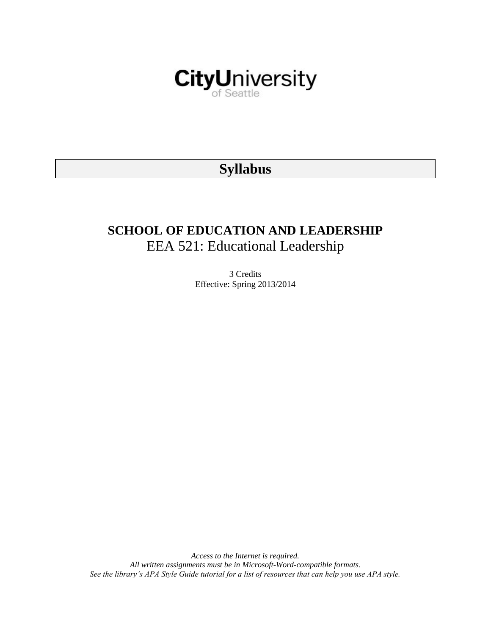

# **Syllabus**

# **SCHOOL OF EDUCATION AND LEADERSHIP** EEA 521: Educational Leadership

3 Credits Effective: Spring 2013/2014

*Access to the Internet is required. All written assignments must be in Microsoft-Word-compatible formats. See the library's APA Style Guide tutorial for a list of resources that can help you use APA style.*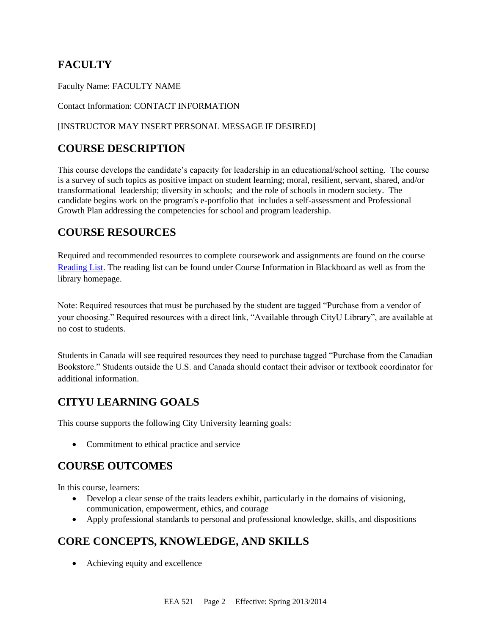## **FACULTY**

Faculty Name: FACULTY NAME

Contact Information: CONTACT INFORMATION

## [INSTRUCTOR MAY INSERT PERSONAL MESSAGE IF DESIRED]

## **COURSE DESCRIPTION**

This course develops the candidate's capacity for leadership in an educational/school setting. The course is a survey of such topics as positive impact on student learning; moral, resilient, servant, shared, and/or transformational leadership; diversity in schools; and the role of schools in modern society. The candidate begins work on the program's e-portfolio that includes a self-assessment and Professional Growth Plan addressing the competencies for school and program leadership.

## **COURSE RESOURCES**

Required and recommended resources to complete coursework and assignments are found on the course [Reading List.](https://nam03.safelinks.protection.outlook.com/?url=https%3A%2F%2Fcityu.alma.exlibrisgroup.com%2Fleganto%2Flogin%3Fauth%3DSAML&data=04%7C01%7CMMara%40cityu.edu%7C70673ce0fe0144040eda08d87472e204%7Cb3fa96d9f5154662add763d854e39e63%7C1%7C0%7C637387384066198115%7CUnknown%7CTWFpbGZsb3d8eyJWIjoiMC4wLjAwMDAiLCJQIjoiV2luMzIiLCJBTiI6Ik1haWwiLCJXVCI6Mn0%3D%7C1000&sdata=JbwP%2Fm5Q%2BMgIUWa%2FXceos%2BoiLv0DX%2B%2FL%2BNGNMbX9P8E%3D&reserved=0) The reading list can be found under Course Information in Blackboard as well as from the library homepage.

Note: Required resources that must be purchased by the student are tagged "Purchase from a vendor of your choosing." Required resources with a direct link, "Available through CityU Library", are available at no cost to students.

Students in Canada will see required resources they need to purchase tagged "Purchase from the Canadian Bookstore." Students outside the U.S. and Canada should contact their advisor or textbook coordinator for additional information.

## **CITYU LEARNING GOALS**

This course supports the following City University learning goals:

• Commitment to ethical practice and service

## **COURSE OUTCOMES**

In this course, learners:

- Develop a clear sense of the traits leaders exhibit, particularly in the domains of visioning, communication, empowerment, ethics, and courage
- Apply professional standards to personal and professional knowledge, skills, and dispositions

## **CORE CONCEPTS, KNOWLEDGE, AND SKILLS**

• Achieving equity and excellence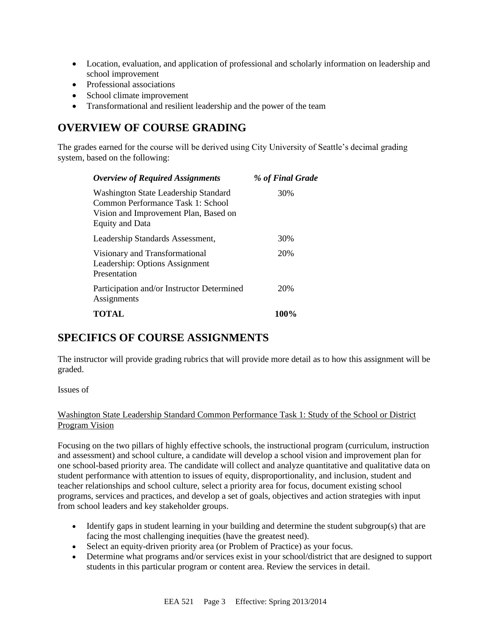- Location, evaluation, and application of professional and scholarly information on leadership and school improvement
- Professional associations
- School climate improvement
- Transformational and resilient leadership and the power of the team

## **OVERVIEW OF COURSE GRADING**

The grades earned for the course will be derived using City University of Seattle's decimal grading system, based on the following:

| <b>Overview of Required Assignments</b>                                                                                                      | % of Final Grade |
|----------------------------------------------------------------------------------------------------------------------------------------------|------------------|
| Washington State Leadership Standard<br>Common Performance Task 1: School<br>Vision and Improvement Plan, Based on<br><b>Equity and Data</b> | 30%              |
| Leadership Standards Assessment,                                                                                                             | 30%              |
| Visionary and Transformational<br>Leadership: Options Assignment<br>Presentation                                                             | 20%              |
| Participation and/or Instructor Determined<br>Assignments                                                                                    | 20%              |
| TOTAL                                                                                                                                        | 100%             |

## **SPECIFICS OF COURSE ASSIGNMENTS**

The instructor will provide grading rubrics that will provide more detail as to how this assignment will be graded.

Issues of

## Washington State Leadership Standard Common Performance Task 1: Study of the School or District Program Vision

Focusing on the two pillars of highly effective schools, the instructional program (curriculum, instruction and assessment) and school culture, a candidate will develop a school vision and improvement plan for one school-based priority area. The candidate will collect and analyze quantitative and qualitative data on student performance with attention to issues of equity, disproportionality, and inclusion, student and teacher relationships and school culture, select a priority area for focus, document existing school programs, services and practices, and develop a set of goals, objectives and action strategies with input from school leaders and key stakeholder groups.

- Identify gaps in student learning in your building and determine the student subgroup(s) that are facing the most challenging inequities (have the greatest need).
- Select an equity-driven priority area (or Problem of Practice) as your focus.
- Determine what programs and/or services exist in your school/district that are designed to support students in this particular program or content area. Review the services in detail.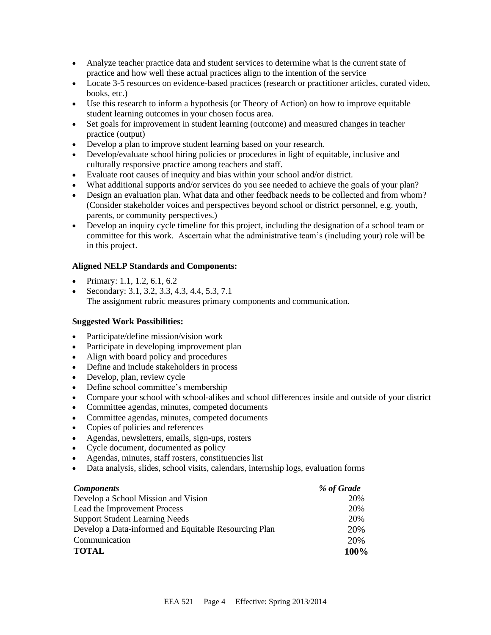- Analyze teacher practice data and student services to determine what is the current state of practice and how well these actual practices align to the intention of the service
- Locate 3-5 resources on evidence-based practices (research or practitioner articles, curated video, books, etc.)
- Use this research to inform a hypothesis (or Theory of Action) on how to improve equitable student learning outcomes in your chosen focus area.
- Set goals for improvement in student learning (outcome) and measured changes in teacher practice (output)
- Develop a plan to improve student learning based on your research.
- Develop/evaluate school hiring policies or procedures in light of equitable, inclusive and culturally responsive practice among teachers and staff.
- Evaluate root causes of inequity and bias within your school and/or district.
- What additional supports and/or services do you see needed to achieve the goals of your plan?
- Design an evaluation plan. What data and other feedback needs to be collected and from whom? (Consider stakeholder voices and perspectives beyond school or district personnel, e.g. youth, parents, or community perspectives.)
- Develop an inquiry cycle timeline for this project, including the designation of a school team or committee for this work. Ascertain what the administrative team's (including your) role will be in this project.

## **Aligned NELP Standards and Components:**

- Primary: 1.1, 1.2, 6.1, 6.2
- Secondary: 3.1, 3.2, 3.3, 4.3, 4.4, 5.3, 7.1 The assignment rubric measures primary components and communication.

## **Suggested Work Possibilities:**

- Participate/define mission/vision work
- Participate in developing improvement plan
- Align with board policy and procedures
- Define and include stakeholders in process
- Develop, plan, review cycle
- Define school committee's membership
- Compare your school with school-alikes and school differences inside and outside of your district
- Committee agendas, minutes, competed documents
- Committee agendas, minutes, competed documents
- Copies of policies and references
- Agendas, newsletters, emails, sign-ups, rosters
- Cycle document, documented as policy
- Agendas, minutes, staff rosters, constituencies list
- Data analysis, slides, school visits, calendars, internship logs, evaluation forms

| <b>Components</b>                                     | % of Grade |
|-------------------------------------------------------|------------|
| Develop a School Mission and Vision                   | 20%        |
| Lead the Improvement Process                          | 20%        |
| <b>Support Student Learning Needs</b>                 | 20%        |
| Develop a Data-informed and Equitable Resourcing Plan | 20%        |
| Communication                                         | 20%        |
| <b>TOTAL</b>                                          | 100%       |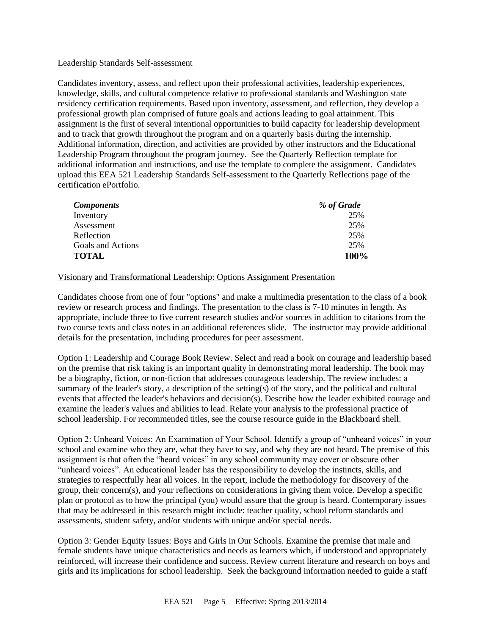## Leadership Standards Self-assessment

Candidates inventory, assess, and reflect upon their professional activities, leadership experiences, knowledge, skills, and cultural competence relative to professional standards and Washington state residency certification requirements. Based upon inventory, assessment, and reflection, they develop a professional growth plan comprised of future goals and actions leading to goal attainment. This assignment is the first of several intentional opportunities to build capacity for leadership development and to track that growth throughout the program and on a quarterly basis during the internship. Additional information, direction, and activities are provided by other instructors and the Educational Leadership Program throughout the program journey. See the Quarterly Reflection template for additional information and instructions, and use the template to complete the assignment. Candidates upload this EEA 521 Leadership Standards Self-assessment to the Quarterly Reflections page of the certification ePortfolio.

| <b>Components</b> | % of Grade |
|-------------------|------------|
| Inventory         | 25%        |
| Assessment        | 25%        |
| Reflection        | 25%        |
| Goals and Actions | 25%        |
| <b>TOTAL</b>      | 100%       |

## Visionary and Transformational Leadership: Options Assignment Presentation

Candidates choose from one of four "options" and make a multimedia presentation to the class of a book review or research process and findings. The presentation to the class is 7-10 minutes in length. As appropriate, include three to five current research studies and/or sources in addition to citations from the two course texts and class notes in an additional references slide. The instructor may provide additional details for the presentation, including procedures for peer assessment.

Option 1: Leadership and Courage Book Review. Select and read a book on courage and leadership based on the premise that risk taking is an important quality in demonstrating moral leadership. The book may be a biography, fiction, or non-fiction that addresses courageous leadership. The review includes: a summary of the leader's story, a description of the setting(s) of the story, and the political and cultural events that affected the leader's behaviors and decision(s). Describe how the leader exhibited courage and examine the leader's values and abilities to lead. Relate your analysis to the professional practice of school leadership. For recommended titles, see the course resource guide in the Blackboard shell.

Option 2: Unheard Voices: An Examination of Your School. Identify a group of "unheard voices" in your school and examine who they are, what they have to say, and why they are not heard. The premise of this assignment is that often the "heard voices" in any school community may cover or obscure other "unheard voices". An educational leader has the responsibility to develop the instincts, skills, and strategies to respectfully hear all voices. In the report, include the methodology for discovery of the group, their concern(s), and your reflections on considerations in giving them voice. Develop a specific plan or protocol as to how the principal (you) would assure that the group is heard. Contemporary issues that may be addressed in this research might include: teacher quality, school reform standards and assessments, student safety, and/or students with unique and/or special needs.

Option 3: Gender Equity Issues: Boys and Girls in Our Schools. Examine the premise that male and female students have unique characteristics and needs as learners which, if understood and appropriately reinforced, will increase their confidence and success. Review current literature and research on boys and girls and its implications for school leadership. Seek the background information needed to guide a staff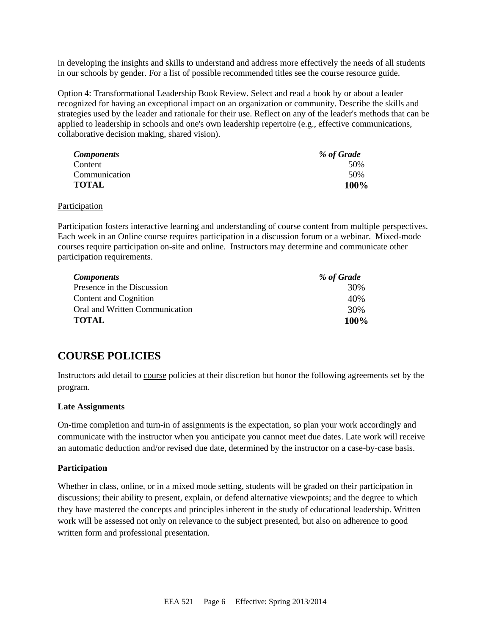in developing the insights and skills to understand and address more effectively the needs of all students in our schools by gender. For a list of possible recommended titles see the course resource guide.

Option 4: Transformational Leadership Book Review. Select and read a book by or about a leader recognized for having an exceptional impact on an organization or community. Describe the skills and strategies used by the leader and rationale for their use. Reflect on any of the leader's methods that can be applied to leadership in schools and one's own leadership repertoire (e.g., effective communications, collaborative decision making, shared vision).

| <i>Components</i> | % of Grade |
|-------------------|------------|
| Content           | 50%        |
| Communication     | 50%        |
| <b>TOTAL</b>      | 100%       |

#### **Participation**

Participation fosters interactive learning and understanding of course content from multiple perspectives. Each week in an Online course requires participation in a discussion forum or a webinar. Mixed-mode courses require participation on-site and online. Instructors may determine and communicate other participation requirements.

| <b>Components</b>              | % of Grade |
|--------------------------------|------------|
| Presence in the Discussion     | 30%        |
| Content and Cognition          | 40%        |
| Oral and Written Communication | 30%        |
| <b>TOTAL</b>                   | 100%       |

## **COURSE POLICIES**

Instructors add detail to course policies at their discretion but honor the following agreements set by the program.

#### **Late Assignments**

On-time completion and turn-in of assignments is the expectation, so plan your work accordingly and communicate with the instructor when you anticipate you cannot meet due dates. Late work will receive an automatic deduction and/or revised due date, determined by the instructor on a case-by-case basis.

#### **Participation**

Whether in class, online, or in a mixed mode setting, students will be graded on their participation in discussions; their ability to present, explain, or defend alternative viewpoints; and the degree to which they have mastered the concepts and principles inherent in the study of educational leadership. Written work will be assessed not only on relevance to the subject presented, but also on adherence to good written form and professional presentation.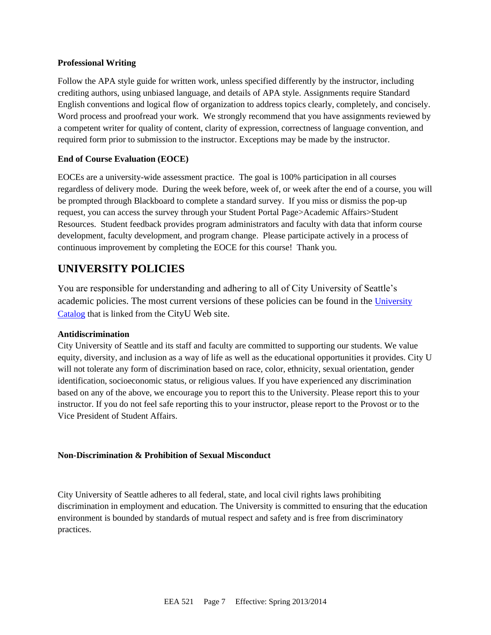## **Professional Writing**

Follow the APA style guide for written work, unless specified differently by the instructor, including crediting authors, using unbiased language, and details of APA style. Assignments require Standard English conventions and logical flow of organization to address topics clearly, completely, and concisely. Word process and proofread your work. We strongly recommend that you have assignments reviewed by a competent writer for quality of content, clarity of expression, correctness of language convention, and required form prior to submission to the instructor. Exceptions may be made by the instructor.

## **End of Course Evaluation (EOCE)**

EOCEs are a university-wide assessment practice. The goal is 100% participation in all courses regardless of delivery mode. During the week before, week of, or week after the end of a course, you will be prompted through Blackboard to complete a standard survey. If you miss or dismiss the pop-up request, you can access the survey through your Student Portal Page>Academic Affairs>Student Resources. Student feedback provides program administrators and faculty with data that inform course development, faculty development, and program change. Please participate actively in a process of continuous improvement by completing the EOCE for this course! Thank you.

## **UNIVERSITY POLICIES**

You are responsible for understanding and adhering to all of City University of Seattle's academic policies. The most current versions of these policies can be found in the [University](https://www.cityu.edu/catalog/)  [Catalog](https://www.cityu.edu/catalog/) that is linked from the CityU Web site.

## **Antidiscrimination**

City University of Seattle and its staff and faculty are committed to supporting our students. We value equity, diversity, and inclusion as a way of life as well as the educational opportunities it provides. City U will not tolerate any form of discrimination based on race, color, ethnicity, sexual orientation, gender identification, socioeconomic status, or religious values. If you have experienced any discrimination based on any of the above, we encourage you to report this to the University. Please report this to your instructor. If you do not feel safe reporting this to your instructor, please report to the Provost or to the Vice President of Student Affairs.

## **Non-Discrimination & Prohibition of Sexual Misconduct**

City University of Seattle adheres to all federal, state, and local civil rights laws prohibiting discrimination in employment and education. The University is committed to ensuring that the education environment is bounded by standards of mutual respect and safety and is free from discriminatory practices.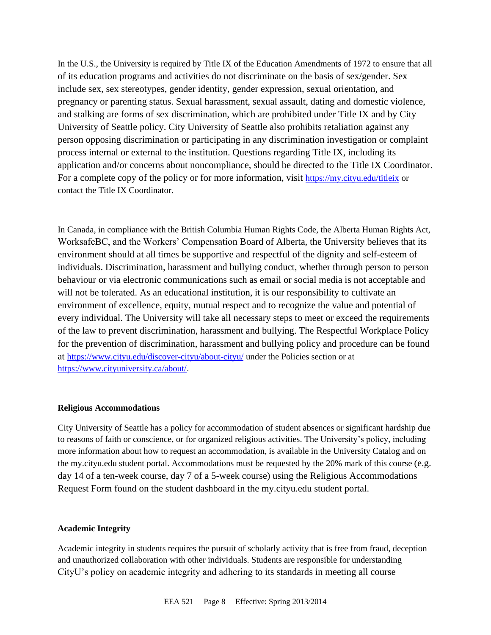In the U.S., the University is required by Title IX of the Education Amendments of 1972 to ensure that all of its education programs and activities do not discriminate on the basis of sex/gender. Sex include sex, sex stereotypes, gender identity, gender expression, sexual orientation, and pregnancy or parenting status. Sexual harassment, sexual assault, dating and domestic violence, and stalking are forms of sex discrimination, which are prohibited under Title IX and by City University of Seattle policy. City University of Seattle also prohibits retaliation against any person opposing discrimination or participating in any discrimination investigation or complaint process internal or external to the institution. Questions regarding Title IX, including its application and/or concerns about noncompliance, should be directed to the Title IX Coordinator. For a complete copy of the policy or for more information, visit <https://my.cityu.edu/titleix> or contact the Title IX Coordinator.

In Canada, in compliance with the British Columbia Human Rights Code, the Alberta Human Rights Act, WorksafeBC, and the Workers' Compensation Board of Alberta, the University believes that its environment should at all times be supportive and respectful of the dignity and self-esteem of individuals. Discrimination, harassment and bullying conduct, whether through person to person behaviour or via electronic communications such as email or social media is not acceptable and will not be tolerated. As an educational institution, it is our responsibility to cultivate an environment of excellence, equity, mutual respect and to recognize the value and potential of every individual. The University will take all necessary steps to meet or exceed the requirements of the law to prevent discrimination, harassment and bullying. The Respectful Workplace Policy for the prevention of discrimination, harassment and bullying policy and procedure can be found at <https://www.cityu.edu/discover-cityu/about-cityu/> under the Policies section or at <https://www.cityuniversity.ca/about/>.

#### **Religious Accommodations**

City University of Seattle has a policy for accommodation of student absences or significant hardship due to reasons of faith or conscience, or for organized religious activities. The University's policy, including more information about how to request an accommodation, is available in the University Catalog and on the my.cityu.edu student portal. Accommodations must be requested by the 20% mark of this course (e.g. day 14 of a ten-week course, day 7 of a 5-week course) using the Religious Accommodations Request Form found on the student dashboard in the my.cityu.edu student portal.

#### **Academic Integrity**

Academic integrity in students requires the pursuit of scholarly activity that is free from fraud, deception and unauthorized collaboration with other individuals. Students are responsible for understanding CityU's policy on academic integrity and adhering to its standards in meeting all course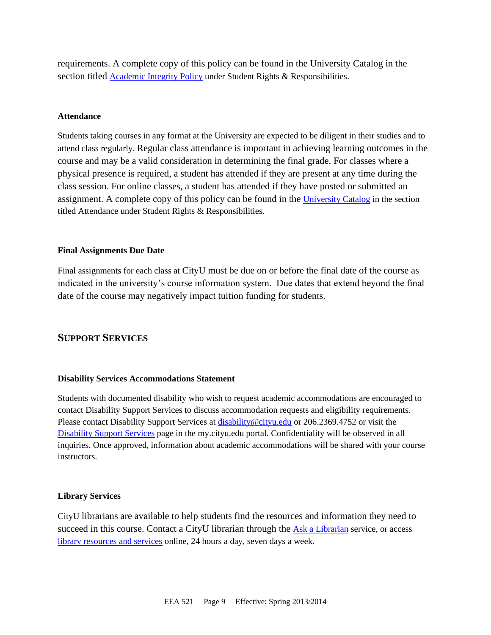requirements. A complete copy of this policy can be found in the University Catalog in the section titled [Academic Integrity Policy](https://www.cityu.edu/catalog/;) under Student Rights & Responsibilities.

## **Attendance**

Students taking courses in any format at the University are expected to be diligent in their studies and to attend class regularly. Regular class attendance is important in achieving learning outcomes in the course and may be a valid consideration in determining the final grade. For classes where a physical presence is required, a student has attended if they are present at any time during the class session. For online classes, a student has attended if they have posted or submitted an assignment. A complete copy of this policy can be found in the [University Catalog](https://www.cityu.edu/catalog/;) in the section titled Attendance under Student Rights & Responsibilities.

## **Final Assignments Due Date**

Final assignments for each class at CityU must be due on or before the final date of the course as indicated in the university's course information system. Due dates that extend beyond the final date of the course may negatively impact tuition funding for students.

## **SUPPORT SERVICES**

#### **Disability Services Accommodations Statement**

Students with documented disability who wish to request academic accommodations are encouraged to contact Disability Support Services to discuss accommodation requests and eligibility requirements. Please contact Disability Support Services at [disability@cityu.edu](mailto:disability@cityu.edu) or 206.2369.4752 or visit the [Disability Support Services](https://my.cityu.edu/department/disability-support-services/) page in the my.cityu.edu portal. Confidentiality will be observed in all inquiries. Once approved, information about academic accommodations will be shared with your course instructors.

#### **Library Services**

CityU librarians are available to help students find the resources and information they need to succeed in this course. Contact a CityU librarian through the [Ask a Librarian](http://library.cityu.edu/ask-a-librarian/) service, or access [library resources and services](http://library.cityu.edu/) online, 24 hours a day, seven days a week.